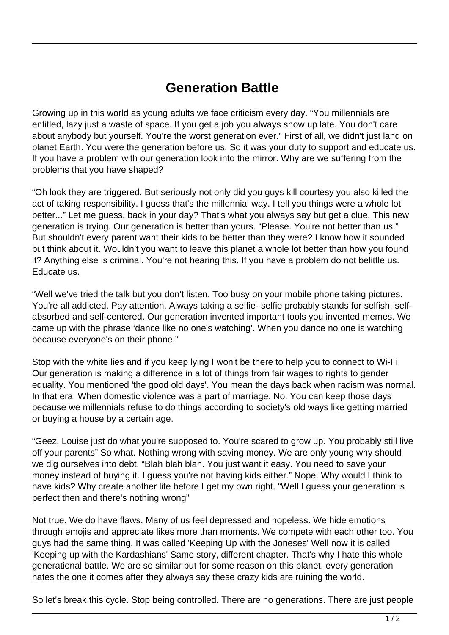## **Generation Battle**

Growing up in this world as young adults we face criticism every day. "You millennials are entitled, lazy just a waste of space. If you get a job you always show up late. You don't care about anybody but yourself. You're the worst generation ever." First of all, we didn't just land on planet Earth. You were the generation before us. So it was your duty to support and educate us. If you have a problem with our generation look into the mirror. Why are we suffering from the problems that you have shaped?

"Oh look they are triggered. But seriously not only did you guys kill courtesy you also killed the act of taking responsibility. I guess that's the millennial way. I tell you things were a whole lot better..." Let me guess, back in your day? That's what you always say but get a clue. This new generation is trying. Our generation is better than yours. "Please. You're not better than us." But shouldn't every parent want their kids to be better than they were? I know how it sounded but think about it. Wouldn't you want to leave this planet a whole lot better than how you found it? Anything else is criminal. You're not hearing this. If you have a problem do not belittle us. Educate us.

"Well we've tried the talk but you don't listen. Too busy on your mobile phone taking pictures. You're all addicted. Pay attention. Always taking a selfie- selfie probably stands for selfish, selfabsorbed and self-centered. Our generation invented important tools you invented memes. We came up with the phrase 'dance like no one's watching'. When you dance no one is watching because everyone's on their phone."

Stop with the white lies and if you keep lying I won't be there to help you to connect to Wi-Fi. Our generation is making a difference in a lot of things from fair wages to rights to gender equality. You mentioned 'the good old days'. You mean the days back when racism was normal. In that era. When domestic violence was a part of marriage. No. You can keep those days because we millennials refuse to do things according to society's old ways like getting married or buying a house by a certain age.

"Geez, Louise just do what you're supposed to. You're scared to grow up. You probably still live off your parents" So what. Nothing wrong with saving money. We are only young why should we dig ourselves into debt. "Blah blah blah. You just want it easy. You need to save your money instead of buying it. I guess you're not having kids either." Nope. Why would I think to have kids? Why create another life before I get my own right. "Well I guess your generation is perfect then and there's nothing wrong"

Not true. We do have flaws. Many of us feel depressed and hopeless. We hide emotions through emojis and appreciate likes more than moments. We compete with each other too. You guys had the same thing. It was called 'Keeping Up with the Joneses' Well now it is called 'Keeping up with the Kardashians' Same story, different chapter. That's why I hate this whole generational battle. We are so similar but for some reason on this planet, every generation hates the one it comes after they always say these crazy kids are ruining the world.

So let's break this cycle. Stop being controlled. There are no generations. There are just people